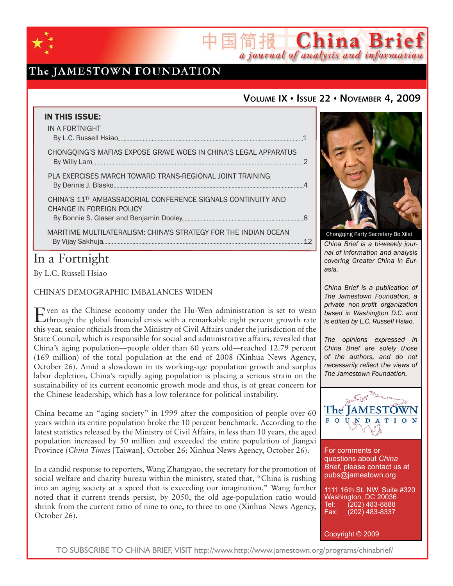

## The JAMESTOWN FOUNDATION

## **VOLUME IX ISSUE 22 NOVEMBER 4, 2009**

简报 China Brief

a journal of analysis and information

| <b>IN THIS ISSUE:</b>                                                                                |  |
|------------------------------------------------------------------------------------------------------|--|
| IN A FORTNIGHT                                                                                       |  |
| CHONGQING'S MAFIAS EXPOSE GRAVE WOES IN CHINA'S LEGAL APPARATUS                                      |  |
| PLA EXERCISES MARCH TOWARD TRANS-REGIONAL JOINT TRAINING                                             |  |
| CHINA'S 11 <sup>TH</sup> AMBASSADORIAL CONFERENCE SIGNALS CONTINUITY AND<br>CHANGE IN FOREIGN POLICY |  |
| MARITIME MULTILATERALISM: CHINA'S STRATEGY FOR THE INDIAN OCEAN                                      |  |

## In a Fortnight

By L.C. Russell Hsiao

CHINA'S DEMOGRAPHIC IMBALANCES WIDEN

Even as the Chinese economy under the Hu-Wen administration is set to wean through the global financial crisis with a remarkable eight percent growth rate this year, senior officials from the Ministry of Civil Affairs under the jurisdiction of the State Council, which is responsible for social and administrative affairs, revealed that China's aging population—people older than 60 years old—reached 12.79 percent (169 million) of the total population at the end of 2008 (Xinhua News Agency, October 26). Amid a slowdown in its working-age population growth and surplus labor depletion, China's rapidly aging population is placing a serious strain on the sustainability of its current economic growth mode and thus, is of great concern for the Chinese leadership, which has a low tolerance for political instability.

China became an "aging society" in 1999 after the composition of people over 60 years within its entire population broke the 10 percent benchmark. According to the latest statistics released by the Ministry of Civil Affairs, in less than 10 years, the aged population increased by 50 million and exceeded the entire population of Jiangxi Province (*China Times* [Taiwan], October 26; Xinhua News Agency, October 26).

In a candid response to reporters, Wang Zhangyao, the secretary for the promotion of social welfare and charity bureau within the ministry, stated that, "China is rushing into an aging society at a speed that is exceeding our imagination." Wang further noted that if current trends persist, by 2050, the old age-population ratio would shrink from the current ratio of nine to one, to three to one (Xinhua News Agency, October 26).



*China Brief is a bi-weekly journal of information and analysis covering Greater China in Eurasia.* 

*China Brief is a publication of The Jamestown Foundation, a private non-profit organization based in Washington D.C. and is edited by L.C. Russell Hsiao.*

*The opinions expressed in China Brief are solely those of the authors, and do not necessarily reflect the views of The Jamestown Foundation.*



For comments or questions about *China Brief*, please contact us at pubs@jamestown.org

1111 16th St. NW, Suite #320 Washington, DC 20036 Tel: (202) 483-8888<br>Fax: (202) 483-8337 Fax: (202) 483-8337

Copyright © 2009

TO SUBSCRIBE TO CHINA BRIEF, VISIT http://www.http://www.jamestown.org/programs/chinabrief/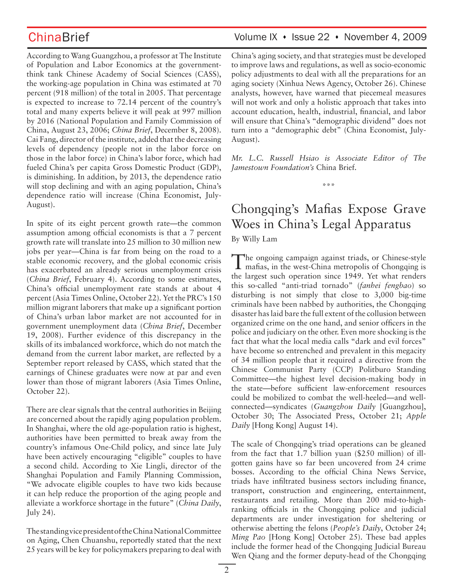According to Wang Guangzhou, a professor at The Institute of Population and Labor Economics at the governmentthink tank Chinese Academy of Social Sciences (CASS), the working-age population in China was estimated at 70 percent (918 million) of the total in 2005. That percentage is expected to increase to 72.14 percent of the country's total and many experts believe it will peak at 997 million by 2016 (National Population and Family Commission of China, August 23, 2006; *China Brief*, December 8, 2008). Cai Fang, director of the institute, added that the decreasing levels of dependency (people not in the labor force on those in the labor force) in China's labor force, which had fueled China's per capita Gross Domestic Product (GDP), is diminishing. In addition, by 2013, the dependence ratio will stop declining and with an aging population, China's dependence ratio will increase (China Economist, July-August).

In spite of its eight percent growth rate—the common assumption among official economists is that a 7 percent growth rate will translate into 25 million to 30 million new jobs per year—China is far from being on the road to a stable economic recovery, and the global economic crisis has exacerbated an already serious unemployment crisis (*China Brief*, February 4). According to some estimates, China's official unemployment rate stands at about 4 percent (Asia Times Online, October 22). Yet the PRC's 150 million migrant laborers that make up a significant portion of China's urban labor market are not accounted for in government unemployment data (*China Brief*, December 19, 2008). Further evidence of this discrepancy in the skills of its imbalanced workforce, which do not match the demand from the current labor market, are reflected by a September report released by CASS, which stated that the earnings of Chinese graduates were now at par and even lower than those of migrant laborers (Asia Times Online, October 22).

There are clear signals that the central authorities in Beijing are concerned about the rapidly aging population problem. In Shanghai, where the old age-population ratio is highest, authorities have been permitted to break away from the country's infamous One-Child policy, and since late July have been actively encouraging "eligible" couples to have a second child. According to Xie Lingli, director of the Shanghai Population and Family Planning Commission, "We advocate eligible couples to have two kids because it can help reduce the proportion of the aging people and alleviate a workforce shortage in the future" (*China Daily*, July 24).

The standing vice president of the China National Committee on Aging, Chen Chuanshu, reportedly stated that the next 25 years will be key for policymakers preparing to deal with

## ChinaBrief Volume IX • Issue 22 • November 4, 2009

China's aging society, and that strategies must be developed to improve laws and regulations, as well as socio-economic policy adjustments to deal with all the preparations for an aging society (Xinhua News Agency, October 26). Chinese analysts, however, have warned that piecemeal measures will not work and only a holistic approach that takes into account education, health, industrial, financial, and labor will ensure that China's "demographic dividend" does not turn into a "demographic debt" (China Economist, July-August).

*Mr. L.C. Russell Hsiao is Associate Editor of The Jamestown Foundation's* China Brief*.*

\*\*\*

# Chongqing's Mafias Expose Grave Woes in China's Legal Apparatus

By Willy Lam

The ongoing campaign against triads, or Chinese-style mafias, in the west-China metropolis of Chongqing is the largest such operation since 1949. Yet what renders this so-called "anti-triad tornado" (*fanhei fengbao*) so disturbing is not simply that close to 3,000 big-time criminals have been nabbed by authorities, the Chongqing disaster has laid bare the full extent of the collusion between organized crime on the one hand, and senior officers in the police and judiciary on the other. Even more shocking is the fact that what the local media calls "dark and evil forces" have become so entrenched and prevalent in this megacity of 34 million people that it required a directive from the Chinese Communist Party (CCP) Politburo Standing Committee—the highest level decision-making body in the state—before sufficient law-enforcement resources could be mobilized to combat the well-heeled—and wellconnected—syndicates (*Guangzhou Daily* [Guangzhou], October 30; The Associated Press, October 21; *Apple Daily* [Hong Kong] August 14).

The scale of Chongqing's triad operations can be gleaned from the fact that 1.7 billion yuan (\$250 million) of illgotten gains have so far been uncovered from 24 crime bosses. According to the official China News Service, triads have infiltrated business sectors including finance, transport, construction and engineering, entertainment, restaurants and retailing. More than 200 mid-to-highranking officials in the Chongqing police and judicial departments are under investigation for sheltering or otherwise abetting the felons (*People's Daily*, October 24; *Ming Pao* [Hong Kong] October 25). These bad apples include the former head of the Chongqing Judicial Bureau Wen Qiang and the former deputy-head of the Chongqing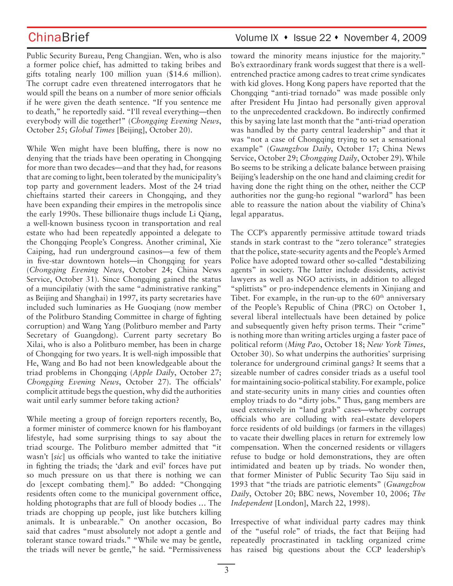ChinaBrief ChinaBrief Volume IX • Issue 22 • November 4, 2009

Public Security Bureau, Peng Changjian. Wen, who is also a former police chief, has admitted to taking bribes and gifts totaling nearly 100 million yuan (\$14.6 million). The corrupt cadre even threatened interrogators that he would spill the beans on a number of more senior officials if he were given the death sentence. "If you sentence me to death," he reportedly said. "I'll reveal everything—then everybody will die together!" (*Chongqing Evening News*, October 25; *Global Times* [Beijing], October 20).

While Wen might have been bluffing, there is now no denying that the triads have been operating in Chongqing for more than two decades—and that they had, for reasons that are coming to light, been tolerated by the municipality's top party and government leaders. Most of the 24 triad chieftains started their careers in Chongqing, and they have been expanding their empires in the metropolis since the early 1990s. These billionaire thugs include Li Qiang, a well-known business tycoon in transportation and real estate who had been repeatedly appointed a delegate to the Chongqing People's Congress. Another criminal, Xie Caiping, had run underground casinos—a few of them in five-star downtown hotels—in Chongqing for years (*Chongqing Evening News*, October 24; China News Service, October 31). Since Chongqing gained the status of a muncipilatiy (with the same "administrative ranking" as Beijing and Shanghai) in 1997, its party secretaries have included such luminaries as He Guoqiang (now member of the Politburo Standing Committee in charge of fighting corruption) and Wang Yang (Politburo member and Party Secretary of Guangdong). Current party secretary Bo Xilai, who is also a Politburo member, has been in charge of Chongqing for two years. It is well-nigh impossible that He, Wang and Bo had not been knowledgeable about the triad problems in Chongqing (*Apple Daily*, October 27; *Chongqing Evening News*, October 27). The officials' complicit attitude begs the question, why did the authorities wait until early summer before taking action?

While meeting a group of foreign reporters recently, Bo, a former minister of commerce known for his flamboyant lifestyle, had some surprising things to say about the triad scourge. The Politburo member admitted that "it wasn't [*sic*] us officials who wanted to take the initiative in fighting the triads; the 'dark and evil' forces have put so much pressure on us that there is nothing we can do [except combating them]." Bo added: "Chongqing residents often come to the municipal government office, holding photographs that are full of bloody bodies … The triads are chopping up people, just like butchers killing animals. It is unbearable." On another occasion, Bo said that cadres "must absolutely not adopt a gentle and tolerant stance toward triads." "While we may be gentle, the triads will never be gentle," he said. "Permissiveness

toward the minority means injustice for the majority." Bo's extraordinary frank words suggest that there is a wellentrenched practice among cadres to treat crime syndicates with kid gloves. Hong Kong papers have reported that the Chongqing "anti-triad tornado" was made possible only after President Hu Jintao had personally given approval to the unprecedented crackdown. Bo indirectly confirmed this by saying late last month that the "anti-triad operation was handled by the party central leadership" and that it was "not a case of Chongqing trying to set a sensational example" (*Guangzhou Daily*, October 17; China News Service, October 29; *Chongqing Daily*, October 29**).** While Bo seems to be striking a delicate balance between praising Beijing's leadership on the one hand and claiming credit for having done the right thing on the other, neither the CCP authorities nor the gung-ho regional "warlord" has been able to reassure the nation about the viability of China's legal apparatus.

The CCP's apparently permissive attitude toward triads stands in stark contrast to the "zero tolerance" strategies that the police, state-security agents and the People's Armed Police have adopted toward other so-called "destabilizing agents" in society. The latter include dissidents, activist lawyers as well as NGO activists, in addition to alleged "splittists" or pro-independence elements in Xinjiang and Tibet. For example, in the run-up to the  $60<sup>th</sup>$  anniversary of the People's Republic of China (PRC) on October 1, several liberal intellectuals have been detained by police and subsequently given hefty prison terms. Their "crime" is nothing more than writing articles urging a faster pace of political reform (*Ming Pao*, October 18; *New York Times*, October 30). So what underpins the authorities' surprising tolerance for underground criminal gangs? It seems that a sizeable number of cadres consider triads as a useful tool for maintaining socio-political stability. For example, police and state-security units in many cities and counties often employ triads to do "dirty jobs." Thus, gang members are used extensively in "land grab" cases—whereby corrupt officials who are colluding with real-estate developers force residents of old buildings (or farmers in the villages) to vacate their dwelling places in return for extremely low compensation. When the concerned residents or villagers refuse to budge or hold demonstrations, they are often intimidated and beaten up by triads. No wonder then, that former Minister of Public Security Tao Siju said in 1993 that "the triads are patriotic elements" (*Guangzhou Daily*, October 20; BBC news, November 10, 2006; *The Independent* [London], March 22, 1998).

Irrespective of what individual party cadres may think of the "useful role" of triads, the fact that Beijing had repeatedly procrastinated in tackling organized crime has raised big questions about the CCP leadership's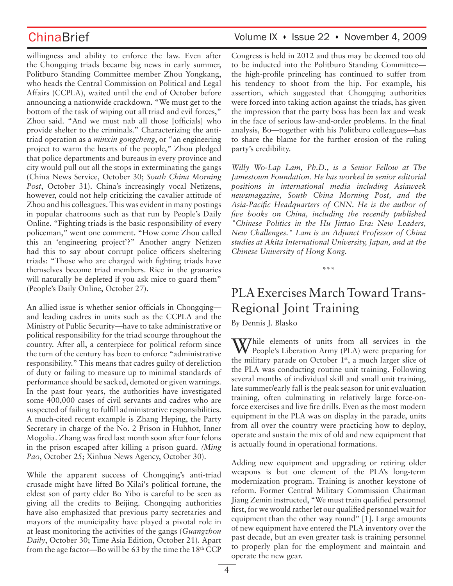willingness and ability to enforce the law. Even after the Chongqing triads became big news in early summer, Politburo Standing Committee member Zhou Yongkang, who heads the Central Commission on Political and Legal Affairs (CCPLA), waited until the end of October before announcing a nationwide crackdown. "We must get to the bottom of the task of wiping out all triad and evil forces," Zhou said. "And we must nab all those [officials] who provide shelter to the criminals." Characterizing the antitriad operation as a *minxin gongcheng*, or "an engineering project to warm the hearts of the people," Zhou pledged that police departments and bureaus in every province and city would pull out all the stops in exterminating the gangs (China News Service, October 30; *South China Morning Post*, October 31). China's increasingly vocal Netizens, however, could not help criticizing the cavalier attitude of Zhou and his colleagues. This was evident in many postings in popular chatrooms such as that run by People's Daily Online. "Fighting triads is the basic responsibility of every policeman," went one comment. "How come Zhou called this an 'engineering project'?" Another angry Netizen had this to say about corrupt police officers sheltering triads: "Those who are charged with fighting triads have themselves become triad members. Rice in the granaries will naturally be depleted if you ask mice to guard them" (People's Daily Online, October 27).

An allied issue is whether senior officials in Chongqing and leading cadres in units such as the CCPLA and the Ministry of Public Security—have to take administrative or political responsibility for the triad scourge throughout the country. After all, a centerpiece for political reform since the turn of the century has been to enforce "administrative responsibility." This means that cadres guilty of dereliction of duty or failing to measure up to minimal standards of performance should be sacked, demoted or given warnings. In the past four years, the authorities have investigated some 400,000 cases of civil servants and cadres who are suspected of failing to fulfill administrative responsibilities. A much-cited recent example is Zhang Heping, the Party Secretary in charge of the No. 2 Prison in Huhhot, Inner Mogolia. Zhang was fired last month soon after four felons in the prison escaped after killing a prison guard. *(Ming Pao*, October 25; Xinhua News Agency, October 30).

While the apparent success of Chongqing's anti-triad crusade might have lifted Bo Xilai's political fortune, the eldest son of party elder Bo Yibo is careful to be seen as giving all the credits to Beijing. Chongqing authorities have also emphasized that previous party secretaries and mayors of the municipality have played a pivotal role in at least monitoring the activities of the gangs (*Guangzhou Daily*, October 30; Time Asia Edition, October 21). Apart from the age factor—Bo will be 63 by the time the  $18<sup>th</sup> CCP$ 

## ChinaBrief Volume IX • Issue 22 • November 4, 2009

Congress is held in 2012 and thus may be deemed too old to be inducted into the Politburo Standing Committee the high-profile princeling has continued to suffer from his tendency to shoot from the hip. For example, his assertion, which suggested that Chongqing authorities were forced into taking action against the triads, has given the impression that the party boss has been lax and weak in the face of serious law-and-order problems. In the final analysis, Bo—together with his Politburo colleagues—has to share the blame for the further erosion of the ruling party's credibility.

*Willy Wo-Lap Lam, Ph.D., is a Senior Fellow at The Jamestown Foundation. He has worked in senior editorial positions in international media including Asiaweek newsmagazine, South China Morning Post, and the Asia-Pacific Headquarters of CNN. He is the author of five books on China, including the recently published "Chinese Politics in the Hu Jintao Era: New Leaders, New Challenges." Lam is an Adjunct Professor of China studies at Akita International University, Japan, and at the Chinese University of Hong Kong.* 

\*\*\*

# PLA Exercises March Toward Trans-Regional Joint Training

By Dennis J. Blasko

While elements of units from all services in the People's Liberation Army (PLA) were preparing for the military parade on October 1<sup>st</sup>, a much larger slice of the PLA was conducting routine unit training. Following several months of individual skill and small unit training, late summer/early fall is the peak season for unit evaluation training, often culminating in relatively large force-onforce exercises and live fire drills. Even as the most modern equipment in the PLA was on display in the parade, units from all over the country were practicing how to deploy, operate and sustain the mix of old and new equipment that is actually found in operational formations.

Adding new equipment and upgrading or retiring older weapons is but one element of the PLA's long-term modernization program. Training is another keystone of reform. Former Central Military Commission Chairman Jiang Zemin instructed, "We must train qualified personnel first, for we would rather let our qualified personnel wait for equipment than the other way round" [1]. Large amounts of new equipment have entered the PLA inventory over the past decade, but an even greater task is training personnel to properly plan for the employment and maintain and operate the new gear.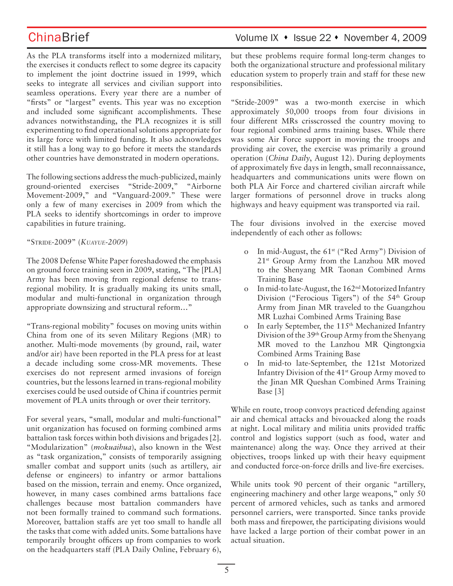As the PLA transforms itself into a modernized military, the exercises it conducts reflect to some degree its capacity to implement the joint doctrine issued in 1999, which seeks to integrate all services and civilian support into seamless operations. Every year there are a number of "firsts" or "largest" events. This year was no exception and included some significant accomplishments. These advances notwithstanding, the PLA recognizes it is still experimenting to find operational solutions appropriate for its large force with limited funding. It also acknowledges it still has a long way to go before it meets the standards other countries have demonstrated in modern operations.

The following sections address the much-publicized, mainly ground-oriented exercises "Stride-2009," "Airborne Movement-2009," and "Vanguard-2009." These were only a few of many exercises in 2009 from which the PLA seeks to identify shortcomings in order to improve capabilities in future training.

## "STRIDE-2009" (*KUAYUE-2009*)

The 2008 Defense White Paper foreshadowed the emphasis on ground force training seen in 2009, stating, "The [PLA] Army has been moving from regional defense to transregional mobility. It is gradually making its units small, modular and multi-functional in organization through appropriate downsizing and structural reform…"

"Trans-regional mobility" focuses on moving units within China from one of its seven Military Regions (MR) to another. Multi-mode movements (by ground, rail, water and/or air) have been reported in the PLA press for at least a decade including some cross-MR movements. These exercises do not represent armed invasions of foreign countries, but the lessons learned in trans-regional mobility exercises could be used outside of China if countries permit movement of PLA units through or over their territory.

For several years, "small, modular and multi-functional" unit organization has focused on forming combined arms battalion task forces within both divisions and brigades [2]. "Modularization" (*mokuaihua*), also known in the West as "task organization," consists of temporarily assigning smaller combat and support units (such as artillery, air defense or engineers) to infantry or armor battalions based on the mission, terrain and enemy. Once organized, however, in many cases combined arms battalions face challenges because most battalion commanders have not been formally trained to command such formations. Moreover, battalion staffs are yet too small to handle all the tasks that come with added units. Some battalions have temporarily brought officers up from companies to work on the headquarters staff (PLA Daily Online, February 6),

## ChinaBrief Volume IX • Issue 22 • November 4, 2009

but these problems require formal long-term changes to both the organizational structure and professional military education system to properly train and staff for these new responsibilities.

"Stride-2009" was a two-month exercise in which approximately 50,000 troops from four divisions in four different MRs crisscrossed the country moving to four regional combined arms training bases. While there was some Air Force support in moving the troops and providing air cover, the exercise was primarily a ground operation (*China Daily*, August 12). During deployments of approximately five days in length, small reconnaissance, headquarters and communications units were flown on both PLA Air Force and chartered civilian aircraft while larger formations of personnel drove in trucks along highways and heavy equipment was transported via rail.

The four divisions involved in the exercise moved independently of each other as follows:

- o In mid-August, the  $61<sup>st</sup>$  ("Red Army") Division of 21st Group Army from the Lanzhou MR moved to the Shenyang MR Taonan Combined Arms Training Base
- In mid-to late-August, the 162<sup>nd</sup> Motorized Infantry Division ("Ferocious Tigers") of the  $54<sup>th</sup>$  Group Army from Jinan MR traveled to the Guangzhou MR Luzhai Combined Arms Training Base
- In early September, the 115<sup>th</sup> Mechanized Infantry Division of the 39th Group Army from the Shenyang MR moved to the Lanzhou MR Qingtongxia Combined Arms Training Base
- o In mid-to late-September, the 121st Motorized Infantry Division of the 41st Group Army moved to the Jinan MR Queshan Combined Arms Training Base [3]

While en route, troop convoys practiced defending against air and chemical attacks and bivouacked along the roads at night. Local military and militia units provided traffic control and logistics support (such as food, water and maintenance) along the way. Once they arrived at their objectives, troops linked up with their heavy equipment and conducted force-on-force drills and live-fire exercises.

While units took 90 percent of their organic "artillery, engineering machinery and other large weapons," only 50 percent of armored vehicles, such as tanks and armored personnel carriers, were transported. Since tanks provide both mass and firepower, the participating divisions would have lacked a large portion of their combat power in an actual situation.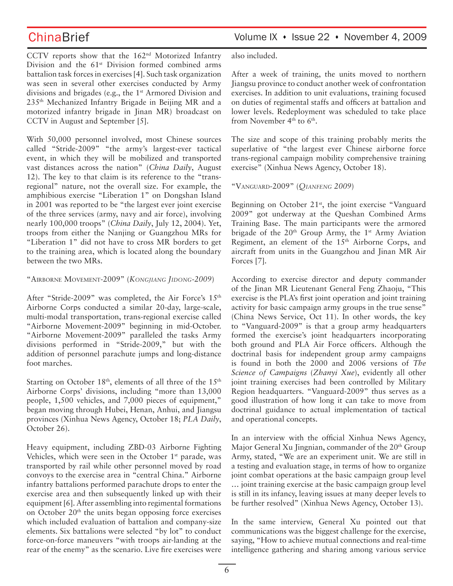CCTV reports show that the 162nd Motorized Infantry Division and the  $61<sup>st</sup>$  Division formed combined arms battalion task forces in exercises [4]. Such task organization was seen in several other exercises conducted by Army divisions and brigades (e.g., the 1<sup>st</sup> Armored Division and 235th Mechanized Infantry Brigade in Beijing MR and a motorized infantry brigade in Jinan MR) broadcast on CCTV in August and September [5].

With 50,000 personnel involved, most Chinese sources called "Stride-2009" "the army's largest-ever tactical event, in which they will be mobilized and transported vast distances across the nation" (*China Daily*, August 12). The key to that claim is its reference to the "transregional" nature, not the overall size. For example, the amphibious exercise "Liberation 1" on Dongshan Island in 2001 was reported to be "the largest ever joint exercise of the three services (army, navy and air force), involving nearly 100,000 troops" (*China Daily*, July 12, 2004). Yet, troops from either the Nanjing or Guangzhou MRs for "Liberation 1" did not have to cross MR borders to get to the training area, which is located along the boundary between the two MRs.

### "AIRBORNE MOVEMENT-2009" (*KONGJIANG JIDONG-2009*)

After "Stride-2009" was completed, the Air Force's 15<sup>th</sup> Airborne Corps conducted a similar 20-day, large-scale, multi-modal transportation, trans-regional exercise called "Airborne Movement-2009" beginning in mid-October. "Airborne Movement-2009" paralleled the tasks Army divisions performed in "Stride-2009," but with the addition of personnel parachute jumps and long-distance foot marches.

Starting on October 18<sup>th</sup>, elements of all three of the 15<sup>th</sup> Airborne Corps' divisions, including "more than 13,000 people, 1,500 vehicles, and 7,000 pieces of equipment," began moving through Hubei, Henan, Anhui, and Jiangsu provinces (Xinhua News Agency, October 18; *PLA Daily*, October 26).

Heavy equipment, including ZBD-03 Airborne Fighting Vehicles, which were seen in the October 1<sup>st</sup> parade, was transported by rail while other personnel moved by road convoys to the exercise area in "central China." Airborne infantry battalions performed parachute drops to enter the exercise area and then subsequently linked up with their equipment [6]. After assembling into regimental formations on October 20<sup>th</sup> the units began opposing force exercises which included evaluation of battalion and company-size elements. Six battalions were selected "by lot" to conduct force-on-force maneuvers "with troops air-landing at the rear of the enemy" as the scenario. Live fire exercises were also included.

After a week of training, the units moved to northern Jiangsu province to conduct another week of confrontation exercises. In addition to unit evaluations, training focused on duties of regimental staffs and officers at battalion and lower levels. Redeployment was scheduled to take place from November 4<sup>th</sup> to 6<sup>th</sup>.

The size and scope of this training probably merits the superlative of "the largest ever Chinese airborne force trans-regional campaign mobility comprehensive training exercise" (Xinhua News Agency, October 18).

"VANGUARD-2009" (*QIANFENG 2009*)

Beginning on October  $21<sup>st</sup>$ , the joint exercise "Vanguard 2009" got underway at the Queshan Combined Arms Training Base. The main participants were the armored brigade of the  $20<sup>th</sup>$  Group Army, the 1<sup>st</sup> Army Aviation Regiment, an element of the 15th Airborne Corps, and aircraft from units in the Guangzhou and Jinan MR Air Forces [7].

According to exercise director and deputy commander of the Jinan MR Lieutenant General Feng Zhaoju, "This exercise is the PLA's first joint operation and joint training activity for basic campaign army groups in the true sense" (China News Service, Oct 11). In other words, the key to "Vanguard-2009" is that a group army headquarters formed the exercise's joint headquarters incorporating both ground and PLA Air Force officers. Although the doctrinal basis for independent group army campaigns is found in both the 2000 and 2006 versions of *The Science of Campaigns* (*Zhanyi Xue*), evidently all other joint training exercises had been controlled by Military Region headquarters. "Vanguard-2009" thus serves as a good illustration of how long it can take to move from doctrinal guidance to actual implementation of tactical and operational concepts.

In an interview with the official Xinhua News Agency, Major General Xu Jingnian, commander of the 20<sup>th</sup> Group Army, stated, "We are an experiment unit. We are still in a testing and evaluation stage, in terms of how to organize joint combat operations at the basic campaign group level … joint training exercise at the basic campaign group level is still in its infancy, leaving issues at many deeper levels to be further resolved" (Xinhua News Agency, October 13).

In the same interview, General Xu pointed out that communications was the biggest challenge for the exercise, saying, "How to achieve mutual connections and real-time intelligence gathering and sharing among various service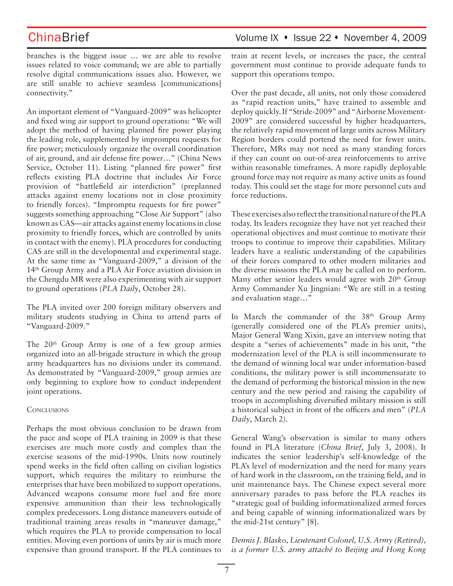branches is the biggest issue … we are able to resolve issues related to voice command; we are able to partially resolve digital communications issues also. However, we are still unable to achieve seamless [communications] connectivity."

An important element of "Vanguard-2009" was helicopter and fixed wing air support to ground operations: "We will adopt the method of having planned fire power playing the leading role, supplemented by impromptu requests for fire power; meticulously organize the overall coordination of air, ground, and air defense fire power…" (China News Service, October 11). Listing "planned fire power" first reflects existing PLA doctrine that includes Air Force provision of "battlefield air interdiction" (preplanned attacks against enemy locations not in close proximity to friendly forces). "Impromptu requests for fire power" suggests something approaching "Close Air Support" (also known as CAS—air attacks against enemy locations in close proximity to friendly forces, which are controlled by units in contact with the enemy). PLA procedures for conducting CAS are still in the developmental and experimental stage. At the same time as "Vanguard-2009," a division of the 14th Group Army and a PLA Air Force aviation division in the Chengdu MR were also experimenting with air support to ground operations (*PLA Daily*, October 28).

The PLA invited over 200 foreign military observers and military students studying in China to attend parts of "Vanguard-2009."

The 20<sup>th</sup> Group Army is one of a few group armies organized into an all-brigade structure in which the group army headquarters has no divisions under its command. As demonstrated by "Vanguard-2009," group armies are only beginning to explore how to conduct independent joint operations.

### **CONCLUSIONS**

Perhaps the most obvious conclusion to be drawn from the pace and scope of PLA training in 2009 is that these exercises are much more costly and complex than the exercise seasons of the mid-1990s. Units now routinely spend weeks in the field often calling on civilian logistics support, which requires the military to reimburse the enterprises that have been mobilized to support operations. Advanced weapons consume more fuel and fire more expensive ammunition than their less technologically complex predecessors. Long distance maneuvers outside of traditional training areas results in "maneuver damage," which requires the PLA to provide compensation to local entities. Moving even portions of units by air is much more expensive than ground transport. If the PLA continues to

train at recent levels, or increases the pace, the central government must continue to provide adequate funds to support this operations tempo.

Over the past decade, all units, not only those considered as "rapid reaction units," have trained to assemble and deploy quickly. If "Stride-2009" and "Airborne Movement-2009" are considered successful by higher headquarters, the relatively rapid movement of large units across Military Region borders could portend the need for fewer units. Therefore, MRs may not need as many standing forces if they can count on out-of-area reinforcements to arrive within reasonable timeframes. A more rapidly deployable ground force may not require as many active units as found today. This could set the stage for more personnel cuts and force reductions.

These exercises also reflect the transitional nature of the PLA today. Its leaders recognize they have not yet reached their operational objectives and must continue to motivate their troops to continue to improve their capabilities. Military leaders have a realistic understanding of the capabilities of their forces compared to other modern militaries and the diverse missions the PLA may be called on to perform. Many other senior leaders would agree with  $20<sup>th</sup>$  Group Army Commander Xu Jingnian: "We are still in a testing and evaluation stage…"

In March the commander of the 38<sup>th</sup> Group Army (generally considered one of the PLA's premier units), Major General Wang Xixin, gave an interview noting that despite a "series of achievements" made in his unit, "the modernization level of the PLA is still incommensurate to the demand of winning local war under information-based conditions, the military power is still incommensurate to the demand of performing the historical mission in the new century and the new period and raising the capability of troops in accomplishing diversified military mission is still a historical subject in front of the officers and men" (*PLA Daily*, March 2).

General Wang's observation is similar to many others found in PLA literature (*China Brief*, July 3, 2008). It indicates the senior leadership's self-knowledge of the PLA's level of modernization and the need for many years of hard work in the classroom, on the training field, and in unit maintenance bays. The Chinese expect several more anniversary parades to pass before the PLA reaches its "strategic goal of building informationalized armed forces and being capable of winning informationalized wars by the mid-21st century" [8].

*Dennis J. Blasko, Lieutenant Colonel, U.S. Army (Retired), is a former U.S. army attaché to Beijing and Hong Kong*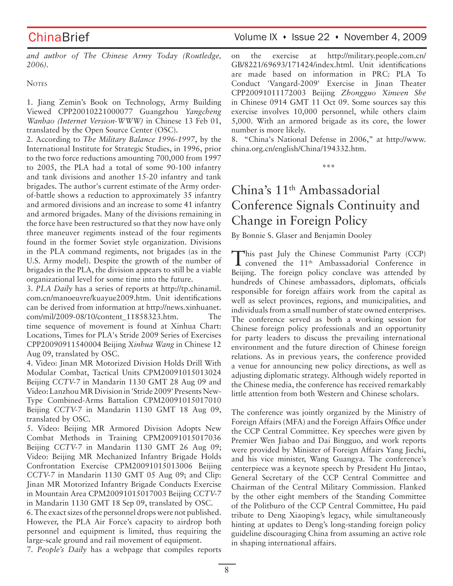ChinaBrief Volume IX • Issue 22 • November 4, 2009

*and author of The Chinese Army Today (Routledge, 2006).*

**NOTES** 

1. Jiang Zemin's Book on Technology, Army Building Viewed CPP20010221000077 Guangzhou *Yangcheng Wanbao (Internet Version-WWW)* in Chinese 13 Feb 01, translated by the Open Source Center (OSC).

2. According to *The Military Balance 1996-1997*, by the International Institute for Strategic Studies, in 1996, prior to the two force reductions amounting 700,000 from 1997 to 2005, the PLA had a total of some 90-100 infantry and tank divisions and another 15-20 infantry and tank brigades. The author's current estimate of the Army orderof-battle shows a reduction to approximately 35 infantry and armored divisions and an increase to some 41 infantry and armored brigades. Many of the divisions remaining in the force have been restructured so that they now have only three maneuver regiments instead of the four regiments found in the former Soviet style organization. Divisions in the PLA command regiments, not brigades (as in the U.S. Army model). Despite the growth of the number of brigades in the PLA, the division appears to still be a viable organizational level for some time into the future.

3. *PLA Daily* has a series of reports at http://tp.chinamil. com.cn/manoeuvre/kuayue2009.htm. Unit identifications can be derived from information at http://news.xinhuanet. com/mil/2009-08/10/content\_11858323.htm. The time sequence of movement is found at Xinhua Chart: Locations, Times for PLA's Stride 2009 Series of Exercises CPP20090911540004 Beijing *Xinhua Wang* in Chinese 12 Aug 09, translated by OSC.

4. Video: Jinan MR Motorized Division Holds Drill With Modular Combat, Tactical Units CPM20091015013024 Beijing *CCTV-7* in Mandarin 1130 GMT 28 Aug 09 and Video: Lanzhou MR Division in 'Stride 2009' Presents New-Type Combined-Arms Battalion CPM20091015017010 Beijing *CCTV-7* in Mandarin 1130 GMT 18 Aug 09, translated by OSC.

5. Video: Beijing MR Armored Division Adopts New Combat Methods in Training CPM20091015017036 Beijing *CCTV-7* in Mandarin 1130 GMT 26 Aug 09; Video: Beijing MR Mechanized Infantry Brigade Holds Confrontation Exercise CPM20091015013006 Beijing *CCTV-7* in Mandarin 1130 GMT 05 Aug 09; and Clip: Jinan MR Motorized Infantry Brigade Conducts Exercise in Mountain Area CPM20091015017003 Beijing *CCTV-7* in Mandarin 1130 GMT 18 Sep 09, translated by OSC.

6. The exact sizes of the personnel drops were not published. However, the PLA Air Force's capacity to airdrop both personnel and equipment is limited, thus requiring the large-scale ground and rail movement of equipment.

7. *People's Daily* has a webpage that compiles reports

on the exercise at http://military.people.com.cn/ GB/8221/69693/171424/index.html. Unit identifications are made based on information in PRC: PLA To Conduct 'Vangard-2009' Exercise in Jinan Theater CPP20091011172003 Beijing *Zhongguo Xinwen She* in Chinese 0914 GMT 11 Oct 09. Some sources say this exercise involves 10,000 personnel, while others claim 5,000. With an armored brigade as its core, the lower number is more likely.

8. "China's National Defense in 2006," at http://www. china.org.cn/english/China/194332.htm.

**\*\*\***

# China's 11th Ambassadorial Conference Signals Continuity and Change in Foreign Policy

By Bonnie S. Glaser and Benjamin Dooley

This past July the Chinese Communist Party (CCP)<br>
convened the 11<sup>th</sup> Ambassadorial Conference in Beijing. The foreign policy conclave was attended by hundreds of Chinese ambassadors, diplomats, officials responsible for foreign affairs work from the capital as well as select provinces, regions, and municipalities, and individuals from a small number of state owned enterprises. The conference served as both a working session for Chinese foreign policy professionals and an opportunity for party leaders to discuss the prevailing international environment and the future direction of Chinese foreign relations. As in previous years, the conference provided a venue for announcing new policy directions, as well as adjusting diplomatic strategy. Although widely reported in the Chinese media, the conference has received remarkably little attention from both Western and Chinese scholars.

The conference was jointly organized by the Ministry of Foreign Affairs (MFA) and the Foreign Affairs Office under the CCP Central Committee. Key speeches were given by Premier Wen Jiabao and Dai Bingguo, and work reports were provided by Minister of Foreign Affairs Yang Jiechi, and his vice minister, Wang Guangya. The conference's centerpiece was a keynote speech by President Hu Jintao, General Secretary of the CCP Central Committee and Chairman of the Central Military Commission. Flanked by the other eight members of the Standing Committee of the Politburo of the CCP Central Committee, Hu paid tribute to Deng Xiaoping's legacy, while simultaneously hinting at updates to Deng's long-standing foreign policy guideline discouraging China from assuming an active role in shaping international affairs.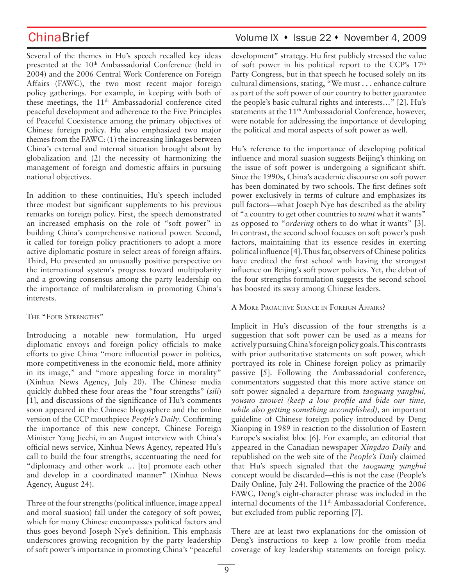Several of the themes in Hu's speech recalled key ideas presented at the 10<sup>th</sup> Ambassadorial Conference (held in 2004) and the 2006 Central Work Conference on Foreign Affairs (FAWC), the two most recent major foreign policy gatherings. For example, in keeping with both of these meetings, the 11<sup>th</sup> Ambassadorial conference cited peaceful development and adherence to the Five Principles of Peaceful Coexistence among the primary objectives of Chinese foreign policy. Hu also emphasized two major themes from the FAWC: (1) the increasing linkages between China's external and internal situation brought about by globalization and (2) the necessity of harmonizing the management of foreign and domestic affairs in pursuing national objectives.

In addition to these continuities, Hu's speech included three modest but significant supplements to his previous remarks on foreign policy. First, the speech demonstrated an increased emphasis on the role of "soft power" in building China's comprehensive national power. Second, it called for foreign policy practitioners to adopt a more active diplomatic posture in select areas of foreign affairs. Third, Hu presented an unusually positive perspective on the international system's progress toward multipolarity and a growing consensus among the party leadership on the importance of multilateralism in promoting China's interests.

## THE "FOUR STRENGTHS"

Introducing a notable new formulation, Hu urged diplomatic envoys and foreign policy officials to make efforts to give China "more influential power in politics, more competitiveness in the economic field, more affinity in its image," and "more appealing force in morality" (Xinhua News Agency, July 20). The Chinese media quickly dubbed these four areas the "four strengths" (*sili*) [1], and discussions of the significance of Hu's comments soon appeared in the Chinese blogosphere and the online version of the CCP mouthpiece *People's Daily*. Confirming the importance of this new concept, Chinese Foreign Minister Yang Jiechi, in an August interview with China's official news service, Xinhua News Agency, repeated Hu's call to build the four strengths, accentuating the need for "diplomacy and other work … [to] promote each other and develop in a coordinated manner" (Xinhua News Agency, August 24).

Three of the four strengths (political influence, image appeal and moral suasion) fall under the category of soft power, which for many Chinese encompasses political factors and thus goes beyond Joseph Nye's definition. This emphasis underscores growing recognition by the party leadership of soft power's importance in promoting China's "peaceful

## ChinaBrief Volume IX • Issue 22 • November 4, 2009

development" strategy. Hu first publicly stressed the value of soft power in his political report to the CCP's 17<sup>th</sup> Party Congress, but in that speech he focused solely on its cultural dimensions, stating, "We must . . . enhance culture as part of the soft power of our country to better guarantee the people's basic cultural rights and interests…" [2]. Hu's statements at the 11<sup>th</sup> Ambassadorial Conference, however, were notable for addressing the importance of developing the political and moral aspects of soft power as well.

Hu's reference to the importance of developing political influence and moral suasion suggests Beijing's thinking on the issue of soft power is undergoing a significant shift. Since the 1990s, China's academic discourse on soft power has been dominated by two schools. The first defines soft power exclusively in terms of culture and emphasizes its pull factors—what Joseph Nye has described as the ability of "a country to get other countries to *want* what it wants" as opposed to "*ordering* others to do what it wants" [3]. In contrast, the second school focuses on soft power's push factors, maintaining that its essence resides in exerting political influence [4].Thus far, observers of Chinese politics have credited the first school with having the strongest influence on Beijing's soft power policies. Yet, the debut of the four strengths formulation suggests the second school has boosted its sway among Chinese leaders.

## A MORE PROACTIVE STANCE IN FOREIGN AFFAIRS?

Implicit in Hu's discussion of the four strengths is a suggestion that soft power can be used as a means for actively pursuing China's foreign policy goals. This contrasts with prior authoritative statements on soft power, which portrayed its role in Chinese foreign policy as primarily passive [5]. Following the Ambassadorial conference, commentators suggested that this more active stance on soft power signaled a departure from *taoguang yanghui, yousuo zuowei (keep a low profile and bide our time, while also getting something accomplished),* an important guideline of Chinese foreign policy introduced by Deng Xiaoping in 1989 in reaction to the dissolution of Eastern Europe's socialist bloc [6]. For example, an editorial that appeared in the Canadian newspaper *Xingdao Daily* and republished on the web site of the *People's Daily* claimed that Hu's speech signaled that the *taoguang yanghui*  concept would be discarded—this is not the case (People's Daily Online, July 24). Following the practice of the 2006 FAWC, Deng's eight-character phrase was included in the internal documents of the 11<sup>th</sup> Ambassadorial Conference, but excluded from public reporting [7].

There are at least two explanations for the omission of Deng's instructions to keep a low profile from media coverage of key leadership statements on foreign policy.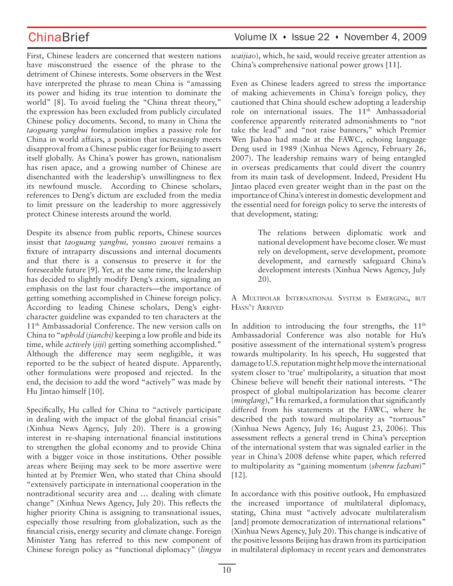First, Chinese leaders are concerned that western nations have misconstrued the essence of the phrase to the detriment of Chinese interests. Some observers in the West have interpreted the phrase to mean China is "amassing its power and hiding its true intention to dominate the world" [8]. To avoid fueling the "China threat theory," the expression has been excluded from publicly circulated Chinese policy documents. Second, to many in China the *taoguang yanghui* formulation implies a passive role for China in world affairs, a position that increasingly meets disapproval from a Chinese public eager for Beijing to assert itself globally. As China's power has grown, nationalism has risen apace, and a growing number of Chinese are disenchanted with the leadership's unwillingness to flex its newfound muscle. According to Chinese scholars, references to Deng's dictum are excluded from the media to limit pressure on the leadership to more aggressively protect Chinese interests around the world.

Despite its absence from public reports, Chinese sources insist that *taoguang yanghui, yousuo zuowei* remains a fixture of intraparty discussions and internal documents and that there is a consensus to preserve it for the foreseeable future [9]. Yet, at the same time, the leadership has decided to slightly modify Deng's axiom, signaling an emphasis on the last four characters—the importance of getting something accomplished in Chinese foreign policy. According to leading Chinese scholars, Deng's eightcharacter guideline was expanded to ten characters at the 11th Ambassadorial Conference. The new version calls on China to "*uphold* (*jianchi)* keeping a low profile and bide its time, while *actively* (*jiji*) getting something accomplished." Although the difference may seem negligible, it was reported to be the subject of heated dispute. Apparently, other formulations were proposed and rejected. In the end, the decision to add the word "actively" was made by Hu Jintao himself [10].

Specifically, Hu called for China to "actively participate in dealing with the impact of the global financial crisis" (Xinhua News Agency, July 20). There is a growing interest in re-shaping international financial institutions to strengthen the global economy and to provide China with a bigger voice in those institutions. Other possible areas where Beijing may seek to be more assertive were hinted at by Premier Wen, who stated that China should "extensively participate in international cooperation in the nontraditional security area and … dealing with climate change" (Xinhua News Agency, July 20). This reflects the higher priority China is assigning to transnational issues, especially those resulting from globalization, such as the financial crisis, energy security and climate change. Foreign Minister Yang has referred to this new component of Chinese foreign policy as "functional diplomacy" (*lingyu*  *waijiao*), which, he said, would receive greater attention as China's comprehensive national power grows [11].

Even as Chinese leaders agreed to stress the importance of making achievements in China's foreign policy, they cautioned that China should eschew adopting a leadership role on international issues. The 11<sup>th</sup> Ambassadorial conference apparently reiterated admonishments to "not take the lead" and "not raise banners," which Premier Wen Jiabao had made at the FAWC, echoing language Deng used in 1989 (Xinhua News Agency, February 26, 2007). The leadership remains wary of being entangled in overseas predicaments that could divert the country from its main task of development. Indeed, President Hu Jintao placed even greater weight than in the past on the importance of China's interest in domestic development and the essential need for foreign policy to serve the interests of that development, stating:

> The relations between diplomatic work and national development have become closer. We must rely on development, serve development, promote development, and earnestly safeguard China's development interests (Xinhua News Agency, July 20).

A MULTIPOLAR INTERNATIONAL SYSTEM IS EMERGING, BUT HASN'T ARRIVED

In addition to introducing the four strengths, the  $11<sup>th</sup>$ Ambassadorial Conference was also notable for Hu's positive assessment of the international system's progress towards multipolarity. In his speech, Hu suggested that damage to U.S. reputation might help move the international system closer to 'true' multipolarity, a situation that most Chinese believe will benefit their national interests. "The prospect of global multipolarization has become clearer (*minglang*)," Hu remarked, a formulation that significantly differed from his statements at the FAWC, where he described the path toward multipolarity as "tortuous" (Xinhua News Agency, July 16; August 23, 2006). This assessment reflects a general trend in China's perception of the international system that was signaled earlier in the year in China's 2008 defense white paper, which referred to multipolarity as "gaining momentum (*shenru fazhan*)" [12].

In accordance with this positive outlook, Hu emphasized the increased importance of multilateral diplomacy, stating, China must "actively advocate multilateralism [and] promote democratization of international relations" (Xinhua News Agency, July 20). This change is indicative of the positive lessons Beijing has drawn from its participation in multilateral diplomacy in recent years and demonstrates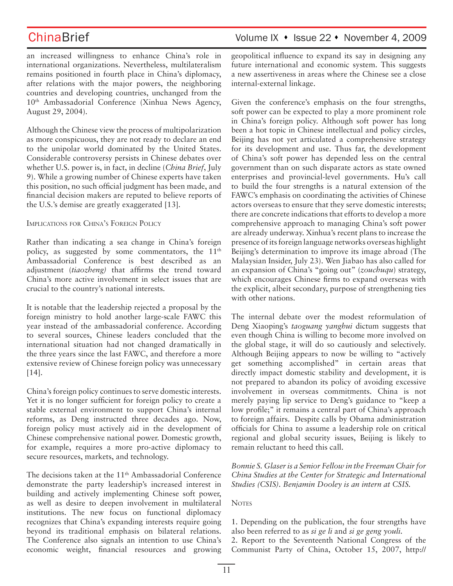an increased willingness to enhance China's role in international organizations. Nevertheless, multilateralism remains positioned in fourth place in China's diplomacy, after relations with the major powers, the neighboring countries and developing countries, unchanged from the 10<sup>th</sup> Ambassadorial Conference (Xinhua News Agency, August 29, 2004).

Although the Chinese view the process of multipolarization as more conspicuous, they are not ready to declare an end to the unipolar world dominated by the United States. Considerable controversy persists in Chinese debates over whether U.S. power is, in fact, in decline (*China Brief*, July 9). While a growing number of Chinese experts have taken this position, no such official judgment has been made, and financial decision makers are reputed to believe reports of the U.S.'s demise are greatly exaggerated [13].

### IMPLICATIONS FOR CHINA'S FOREIGN POLICY

Rather than indicating a sea change in China's foreign policy, as suggested by some commentators, the  $11<sup>th</sup>$ Ambassadorial Conference is best described as an adjustment (*tiaozheng)* that affirms the trend toward China's more active involvement in select issues that are crucial to the country's national interests.

It is notable that the leadership rejected a proposal by the foreign ministry to hold another large-scale FAWC this year instead of the ambassadorial conference. According to several sources, Chinese leaders concluded that the international situation had not changed dramatically in the three years since the last FAWC, and therefore a more extensive review of Chinese foreign policy was unnecessary [14].

China's foreign policy continues to serve domestic interests. Yet it is no longer sufficient for foreign policy to create a stable external environment to support China's internal reforms, as Deng instructed three decades ago. Now, foreign policy must actively aid in the development of Chinese comprehensive national power. Domestic growth, for example, requires a more pro-active diplomacy to secure resources, markets, and technology.

The decisions taken at the 11<sup>th</sup> Ambassadorial Conference demonstrate the party leadership's increased interest in building and actively implementing Chinese soft power, as well as desire to deepen involvement in multilateral institutions. The new focus on functional diplomacy recognizes that China's expanding interests require going beyond its traditional emphasis on bilateral relations. The Conference also signals an intention to use China's economic weight, financial resources and growing geopolitical influence to expand its say in designing any future international and economic system. This suggests a new assertiveness in areas where the Chinese see a close internal-external linkage.

Given the conference's emphasis on the four strengths, soft power can be expected to play a more prominent role in China's foreign policy. Although soft power has long been a hot topic in Chinese intellectual and policy circles, Beijing has not yet articulated a comprehensive strategy for its development and use. Thus far, the development of China's soft power has depended less on the central government than on such disparate actors as state owned enterprises and provincial-level governments. Hu's call to build the four strengths is a natural extension of the FAWC's emphasis on coordinating the activities of Chinese actors overseas to ensure that they serve domestic interests; there are concrete indications that efforts to develop a more comprehensive approach to managing China's soft power are already underway. Xinhua's recent plans to increase the presence of its foreign language networks overseas highlight Beijing's determination to improve its image abroad (The Malaysian Insider, July 23). Wen Jiabao has also called for an expansion of China's "going out" (*zouchuqu*) strategy, which encourages Chinese firms to expand overseas with the explicit, albeit secondary, purpose of strengthening ties with other nations.

The internal debate over the modest reformulation of Deng Xiaoping's *taoguang yanghui* dictum suggests that even though China is willing to become more involved on the global stage, it will do so cautiously and selectively. Although Beijing appears to now be willing to "actively get something accomplished" in certain areas that directly impact domestic stability and development, it is not prepared to abandon its policy of avoiding excessive involvement in overseas commitments. China is not merely paying lip service to Deng's guidance to "keep a low profile;" it remains a central part of China's approach to foreign affairs. Despite calls by Obama administration officials for China to assume a leadership role on critical regional and global security issues, Beijing is likely to remain reluctant to heed this call.

*Bonnie S. Glaser is a Senior Fellow in the Freeman Chair for China Studies at the Center for Strategic and International Studies (CSIS). Benjamin Dooley is an intern at CSIS.*

## **NOTES**

1. Depending on the publication, the four strengths have also been referred to as *si ge li* and *si ge geng youli.*

2. Report to the Seventeenth National Congress of the Communist Party of China, October 15, 2007, http://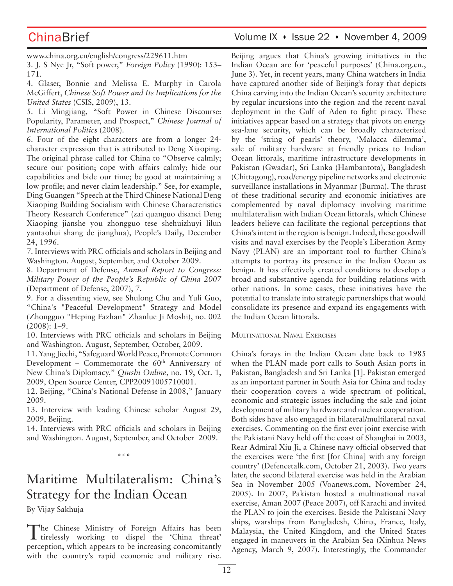www.china.org.cn/english/congress/229611.htm

3. J. S Nye Jr, "Soft power," *Foreign Policy* (1990): 153– 171.

4. Glaser, Bonnie and Melissa E. Murphy in Carola McGiffert, *Chinese Soft Power and Its Implications for the United States* (CSIS, 2009), 13.

5. Li Mingjiang, "Soft Power in Chinese Discourse: Popularity, Parameter, and Prospect," *Chinese Journal of International Politics* (2008).

6. Four of the eight characters are from a longer 24 character expression that is attributed to Deng Xiaoping. The original phrase called for China to "Observe calmly; secure our position; cope with affairs calmly; hide our capabilities and bide our time; be good at maintaining a low profile; and never claim leadership." See, for example, Ding Guangen "Speech at the Third Chinese National Deng Xiaoping Building Socialism with Chinese Characteristics Theory Research Conference" (zai quanguo disanci Deng Xiaoping jianshe you zhongguo tese shehuizhuyi lilun yantaohui shang de jianghua), People's Daily, December 24, 1996.

7. Interviews with PRC officials and scholars in Beijing and Washington. August, September, and October 2009.

8. Department of Defense, *Annual Report to Congress: Military Power of the People's Republic of China 2007* (Department of Defense, 2007), 7.

9. For a dissenting view, see Shulong Chu and Yuli Guo, "China's "Peaceful Development" Strategy and Model (Zhongguo "Heping Fazhan" Zhanlue Ji Moshi), no. 002 (2008): 1–9.

10. Interviews with PRC officials and scholars in Beijing and Washington. August, September, October, 2009.

11. Yang Jiechi, "Safeguard World Peace, Promote Common Development – Commemorate the  $60<sup>th</sup>$  Anniversary of New China's Diplomacy," *Qiushi Online*, no. 19, Oct. 1, 2009, Open Source Center, CPP20091005710001.

12. Beijing, "China's National Defense in 2008," January 2009.

13. Interview with leading Chinese scholar August 29, 2009, Beijing.

14. Interviews with PRC officials and scholars in Beijing and Washington. August, September, and October 2009.

\*\*\*

# Maritime Multilateralism: China's Strategy for the Indian Ocean

By Vijay Sakhuja

The Chinese Ministry of Foreign Affairs has been tirelessly working to dispel the 'China threat' perception, which appears to be increasing concomitantly with the country's rapid economic and military rise.

## ChinaBrief Volume IX • Issue 22 • November 4, 2009

Beijing argues that China's growing initiatives in the Indian Ocean are for 'peaceful purposes' (China.org.cn., June 3). Yet, in recent years, many China watchers in India have captured another side of Beijing's foray that depicts China carving into the Indian Ocean's security architecture by regular incursions into the region and the recent naval deployment in the Gulf of Aden to fight piracy. These initiatives appear based on a strategy that pivots on energy sea-lane security, which can be broadly characterized by the 'string of pearls' theory, 'Malacca dilemma', sale of military hardware at friendly prices to Indian Ocean littorals, maritime infrastructure developments in Pakistan (Gwadar), Sri Lanka (Hambantota), Bangladesh (Chittagong), road/energy pipeline networks and electronic surveillance installations in Myanmar (Burma). The thrust of these traditional security and economic initiatives are complemented by naval diplomacy involving maritime multilateralism with Indian Ocean littorals, which Chinese leaders believe can facilitate the regional perceptions that China's intent in the region is benign. Indeed, these goodwill visits and naval exercises by the People's Liberation Army Navy (PLAN) are an important tool to further China's attempts to portray its presence in the Indian Ocean as benign. It has effectively created conditions to develop a broad and substantive agenda for building relations with other nations. In some cases, these initiatives have the potential to translate into strategic partnerships that would consolidate its presence and expand its engagements with the Indian Ocean littorals.

MULTINATIONAL NAVAL EXERCISES

China's forays in the Indian Ocean date back to 1985 when the PLAN made port calls to South Asian ports in Pakistan, Bangladesh and Sri Lanka [1]. Pakistan emerged as an important partner in South Asia for China and today their cooperation covers a wide spectrum of political, economic and strategic issues including the sale and joint development of military hardware and nuclear cooperation. Both sides have also engaged in bilateral/multilateral naval exercises. Commenting on the first ever joint exercise with the Pakistani Navy held off the coast of Shanghai in 2003, Rear Admiral Xiu Ji, a Chinese navy official observed that the exercises were 'the first [for China] with any foreign country' (Defencetalk.com, October 21, 2003). Two years later, the second bilateral exercise was held in the Arabian Sea in November 2005 (Voanews.com, November 24, 2005). In 2007, Pakistan hosted a multinational naval exercise, Aman 2007 (Peace 2007), off Karachi and invited the PLAN to join the exercises. Beside the Pakistani Navy ships, warships from Bangladesh, China, France, Italy, Malaysia, the United Kingdom, and the United States engaged in maneuvers in the Arabian Sea (Xinhua News Agency, March 9, 2007). Interestingly, the Commander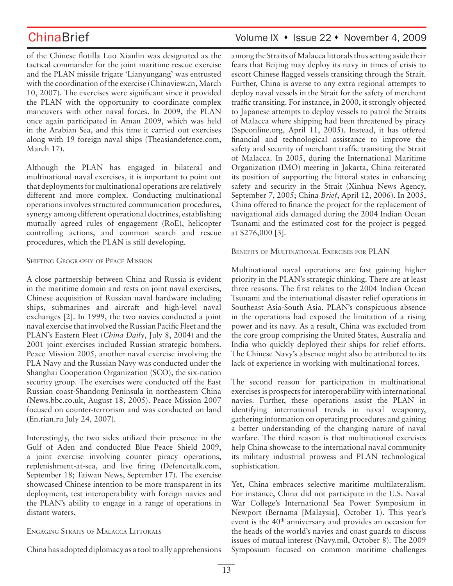of the Chinese flotilla Luo Xianlin was designated as the tactical commander for the joint maritime rescue exercise and the PLAN missile frigate 'Lianyungang' was entrusted with the coordination of the exercise (Chinaview.cn, March 10, 2007). The exercises were significant since it provided the PLAN with the opportunity to coordinate complex maneuvers with other naval forces. In 2009, the PLAN once again participated in Aman 2009, which was held in the Arabian Sea, and this time it carried out exercises along with 19 foreign naval ships (Theasiandefence.com, March 17).

Although the PLAN has engaged in bilateral and multinational naval exercises, it is important to point out that deployments for multinational operations are relatively different and more complex. Conducting multinational operations involves structured communication procedures, synergy among different operational doctrines, establishing mutually agreed rules of engagement (RoE), helicopter controlling actions, and common search and rescue procedures, which the PLAN is still developing.

## SHIFTING GEOGRAPHY OF PEACE MISSION

A close partnership between China and Russia is evident in the maritime domain and rests on joint naval exercises, Chinese acquisition of Russian naval hardware including ships, submarines and aircraft and high-level naval exchanges [2]. In 1999, the two navies conducted a joint naval exercise that involved the Russian Pacific Fleet and the PLAN's Eastern Fleet (*China Daily*, July 8, 2004) and the 2001 joint exercises included Russian strategic bombers. Peace Mission 2005, another naval exercise involving the PLA Navy and the Russian Navy was conducted under the Shanghai Cooperation Organization (SCO), the six-nation security group. The exercises were conducted off the East Russian coast-Shandong Peninsula in northeastern China (News.bbc.co.uk, August 18, 2005). Peace Mission 2007 focused on counter-terrorism and was conducted on land (En.rian.ru July 24, 2007).

Interestingly, the two sides utilized their presence in the Gulf of Aden and conducted Blue Peace Shield 2009, a joint exercise involving counter piracy operations, replenishment-at-sea, and live firing (Defencetalk.com, September 18; Taiwan News, September 17). The exercise showcased Chinese intention to be more transparent in its deployment, test interoperability with foreign navies and the PLAN's ability to engage in a range of operations in distant waters.

## ENGAGING STRAITS OF MALACCA LITTORALS

China has adopted diplomacy as a tool to ally apprehensions

## ChinaBrief Volume IX • Issue 22 • November 4, 2009

among the Straits of Malacca littorals thus setting aside their fears that Beijing may deploy its navy in times of crisis to escort Chinese flagged vessels transiting through the Strait. Further, China is averse to any extra regional attempts to deploy naval vessels in the Strait for the safety of merchant traffic transiting. For instance, in 2000, it strongly objected to Japanese attempts to deploy vessels to patrol the Straits of Malacca where shipping had been threatened by piracy (Sspconline.org, April 11, 2005). Instead, it has offered financial and technological assistance to improve the safety and security of merchant traffic transiting the Strait of Malacca. In 2005, during the International Maritime Organization (IMO) meeting in Jakarta, China reiterated its position of supporting the littoral states in enhancing safety and security in the Strait (Xinhua News Agency, September 7, 2005; China *Brief*, April 12, 2006). In 2005, China offered to finance the project for the replacement of navigational aids damaged during the 2004 Indian Ocean Tsunami and the estimated cost for the project is pegged at \$276,000 [3].

## BENEFITS OF MULTINATIONAL EXERCISES FOR PLAN

Multinational naval operations are fast gaining higher priority in the PLAN's strategic thinking. There are at least three reasons. The first relates to the 2004 Indian Ocean Tsunami and the international disaster relief operations in Southeast Asia-South Asia. PLAN's conspicuous absence in the operations had exposed the limitation of a rising power and its navy. As a result, China was excluded from the core group comprising the United States, Australia and India who quickly deployed their ships for relief efforts. The Chinese Navy's absence might also be attributed to its lack of experience in working with multinational forces.

The second reason for participation in multinational exercises is prospects for interoperability with international navies. Further, these operations assist the PLAN in identifying international trends in naval weaponry, gathering information on operating procedures and gaining a better understanding of the changing nature of naval warfare. The third reason is that multinational exercises help China showcase to the international naval community its military industrial prowess and PLAN technological sophistication.

Yet, China embraces selective maritime multilateralism. For instance, China did not participate in the U.S. Naval War College's International Sea Power Symposium in Newport (Bernama [Malaysia], October 1). This year's event is the 40<sup>th</sup> anniversary and provides an occasion for the heads of the world's navies and coast guards to discuss issues of mutual interest (Navy.mil, October 8). The 2009 Symposium focused on common maritime challenges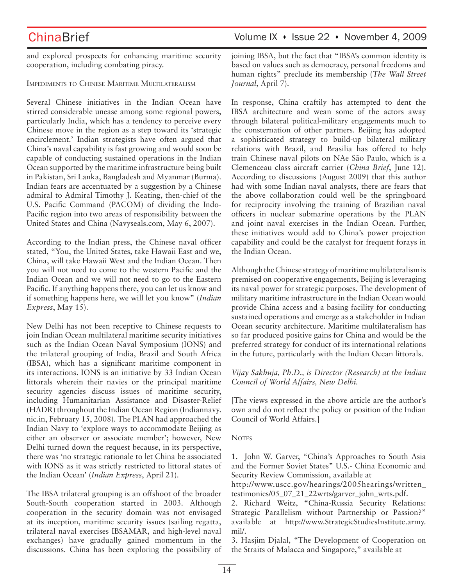## ChinaBrief Volume IX • Issue 22 • November 4, 2009

and explored prospects for enhancing maritime security cooperation, including combating piracy.

IMPEDIMENTS TO CHINESE MARITIME MULTILATERALISM

Several Chinese initiatives in the Indian Ocean have stirred considerable unease among some regional powers, particularly India, which has a tendency to perceive every Chinese move in the region as a step toward its 'strategic encirclement.' Indian strategists have often argued that China's naval capability is fast growing and would soon be capable of conducting sustained operations in the Indian Ocean supported by the maritime infrastructure being built in Pakistan, Sri Lanka, Bangladesh and Myanmar (Burma). Indian fears are accentuated by a suggestion by a Chinese admiral to Admiral Timothy J. Keating, then-chief of the U.S. Pacific Command (PACOM) of dividing the Indo-Pacific region into two areas of responsibility between the United States and China (Navyseals.com, May 6, 2007).

According to the Indian press, the Chinese naval officer stated, "You, the United States, take Hawaii East and we, China, will take Hawaii West and the Indian Ocean. Then you will not need to come to the western Pacific and the Indian Ocean and we will not need to go to the Eastern Pacific. If anything happens there, you can let us know and if something happens here, we will let you know" (*Indian Express*, May 15).

New Delhi has not been receptive to Chinese requests to join Indian Ocean multilateral maritime security initiatives such as the Indian Ocean Naval Symposium (IONS) and the trilateral grouping of India, Brazil and South Africa (IBSA), which has a significant maritime component in its interactions. IONS is an initiative by 33 Indian Ocean littorals wherein their navies or the principal maritime security agencies discuss issues of maritime security, including Humanitarian Assistance and Disaster-Relief (HADR) throughout the Indian Ocean Region (Indiannavy. nic.in, February 15, 2008). The PLAN had approached the Indian Navy to 'explore ways to accommodate Beijing as either an observer or associate member'; however, New Delhi turned down the request because, in its perspective, there was 'no strategic rationale to let China be associated with IONS as it was strictly restricted to littoral states of the Indian Ocean' (*Indian Express*, April 21).

The IBSA trilateral grouping is an offshoot of the broader South-South cooperation started in 2003. Although cooperation in the security domain was not envisaged at its inception, maritime security issues (sailing regatta, trilateral naval exercises IBSAMAR, and high-level naval exchanges) have gradually gained momentum in the discussions. China has been exploring the possibility of joining IBSA, but the fact that "IBSA's common identity is based on values such as democracy, personal freedoms and human rights" preclude its membership (*The Wall Street Journal*, April 7).

In response, China craftily has attempted to dent the IBSA architecture and wean some of the actors away through bilateral political-military engagements much to the consternation of other partners. Beijing has adopted a sophisticated strategy to build-up bilateral military relations with Brazil, and Brasilia has offered to help train Chinese naval pilots on NAe São Paulo, which is a Clemenceau class aircraft carrier (*China Brief*, June 12). According to discussions (August 2009) that this author had with some Indian naval analysts, there are fears that the above collaboration could well be the springboard for reciprocity involving the training of Brazilian naval officers in nuclear submarine operations by the PLAN and joint naval exercises in the Indian Ocean. Further, these initiatives would add to China's power projection capability and could be the catalyst for frequent forays in the Indian Ocean.

Although the Chinese strategy of maritime multilateralism is premised on cooperative engagements, Beijing is leveraging its naval power for strategic purposes. The development of military maritime infrastructure in the Indian Ocean would provide China access and a basing facility for conducting sustained operations and emerge as a stakeholder in Indian Ocean security architecture. Maritime multilateralism has so far produced positive gains for China and would be the preferred strategy for conduct of its international relations in the future, particularly with the Indian Ocean littorals.

## *Vijay Sakhuja, Ph.D., is Director (Research) at the Indian Council of World Affairs, New Delhi.*

[The views expressed in the above article are the author's own and do not reflect the policy or position of the Indian Council of World Affairs.]

### **NOTES**

1. John W. Garver, "China's Approaches to South Asia and the Former Soviet States" U.S.- China Economic and Security Review Commission, available at

http://www.uscc.gov/hearings/2005hearings/written\_ testimonies/05\_07\_21\_22wrts/garver\_john\_wrts.pdf.

2. Richard Weitz, **"**China-Russia Security Relations: Strategic Parallelism without Partnership or Passion?" available at http://www.StrategicStudiesInstitute.army. mil/.

3. Hasjim Djalal, "The Development of Cooperation on the Straits of Malacca and Singapore," available at